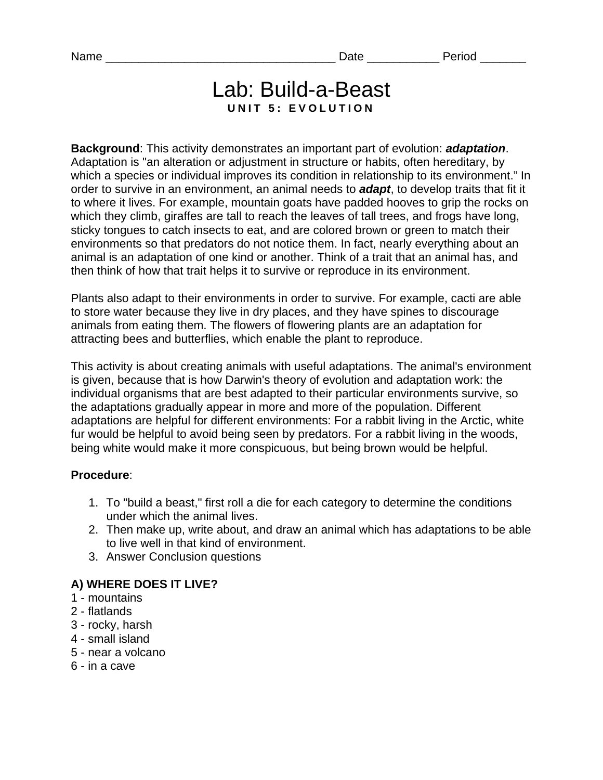# Lab: Build-a-Beast **UNIT 5: EVOLUTION**

**Background**: This activity demonstrates an important part of evolution: *adaptation*. Adaptation is "an alteration or adjustment in structure or habits, often hereditary, by which a species or individual improves its condition in relationship to its environment." In order to survive in an environment, an animal needs to *adapt*, to develop traits that fit it to where it lives. For example, mountain goats have padded hooves to grip the rocks on which they climb, giraffes are tall to reach the leaves of tall trees, and frogs have long, sticky tongues to catch insects to eat, and are colored brown or green to match their environments so that predators do not notice them. In fact, nearly everything about an animal is an adaptation of one kind or another. Think of a trait that an animal has, and then think of how that trait helps it to survive or reproduce in its environment.

Plants also adapt to their environments in order to survive. For example, cacti are able to store water because they live in dry places, and they have spines to discourage animals from eating them. The flowers of flowering plants are an adaptation for attracting bees and butterflies, which enable the plant to reproduce.

This activity is about creating animals with useful adaptations. The animal's environment is given, because that is how Darwin's theory of evolution and adaptation work: the individual organisms that are best adapted to their particular environments survive, so the adaptations gradually appear in more and more of the population. Different adaptations are helpful for different environments: For a rabbit living in the Arctic, white fur would be helpful to avoid being seen by predators. For a rabbit living in the woods, being white would make it more conspicuous, but being brown would be helpful.

#### **Procedure**:

- 1. To "build a beast," first roll a die for each category to determine the conditions under which the animal lives.
- 2. Then make up, write about, and draw an animal which has adaptations to be able to live well in that kind of environment.
- 3. Answer Conclusion questions

#### **A) WHERE DOES IT LIVE?**

- 1 mountains
- 2 flatlands
- 3 rocky, harsh
- 4 small island
- 5 near a volcano
- 6 in a cave